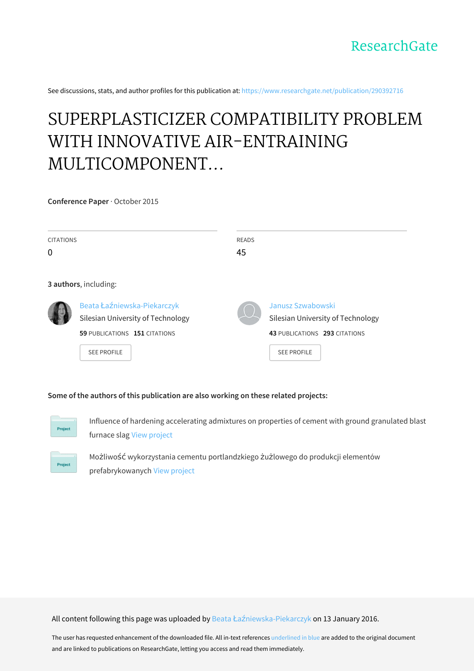See discussions, stats, and author profiles for this publication at: [https://www.researchgate.net/publication/290392716](https://www.researchgate.net/publication/290392716_SUPERPLASTICIZER_COMPATIBILITY_PROBLEM_WITH_INNOVATIVE_AIR-ENTRAINING_MULTICOMPONENT_PORTLAND_CEMENT?enrichId=rgreq-1e2414c3b435bb5acfa0a57271403cda-XXX&enrichSource=Y292ZXJQYWdlOzI5MDM5MjcxNjtBUzozMTc0ODMyMDQ5NzI1NDVAMTQ1MjcwNTMwMjY0OQ%3D%3D&el=1_x_2&_esc=publicationCoverPdf)

# SUPERPLASTICIZER COMPATIBILITY PROBLEM WITH INNOVATIVE AIR-ENTRAINING MULTICOMPONENT...

**Conference Paper** · October 2015

| <b>CITATIONS</b><br>0 |                                   | <b>READS</b><br>45 |                                   |
|-----------------------|-----------------------------------|--------------------|-----------------------------------|
|                       |                                   |                    |                                   |
|                       |                                   |                    |                                   |
|                       | 3 authors, including:             |                    |                                   |
|                       | Beata Łaźniewska-Piekarczyk       |                    | Janusz Szwabowski                 |
|                       | Silesian University of Technology |                    | Silesian University of Technology |
|                       | 59 PUBLICATIONS 151 CITATIONS     |                    | 43 PUBLICATIONS 293 CITATIONS     |
|                       | <b>SEE PROFILE</b>                |                    | <b>SEE PROFILE</b>                |

## **Some of the authors of this publication are also working on these related projects:**



Influence of hardening accelerating admixtures on properties of cement with ground granulated blast furnace slag View [project](https://www.researchgate.net/project/Influence-of-hardening-accelerating-admixtures-on-properties-of-cement-with-ground-granulated-blast-furnace-slag?enrichId=rgreq-1e2414c3b435bb5acfa0a57271403cda-XXX&enrichSource=Y292ZXJQYWdlOzI5MDM5MjcxNjtBUzozMTc0ODMyMDQ5NzI1NDVAMTQ1MjcwNTMwMjY0OQ%3D%3D&el=1_x_9&_esc=publicationCoverPdf)



Możliwość wykorzystania cementu portlandzkiego żużlowego do produkcji elementów prefabrykowanych View [project](https://www.researchgate.net/project/Mozliwosc-wykorzystania-cementu-portlandzkiego-zuzlowego-do-produkcji-elementow-prefabrykowanych?enrichId=rgreq-1e2414c3b435bb5acfa0a57271403cda-XXX&enrichSource=Y292ZXJQYWdlOzI5MDM5MjcxNjtBUzozMTc0ODMyMDQ5NzI1NDVAMTQ1MjcwNTMwMjY0OQ%3D%3D&el=1_x_9&_esc=publicationCoverPdf)

All content following this page was uploaded by Beata Łaź[niewska-Piekarczyk](https://www.researchgate.net/profile/Beata_Lazniewska-Piekarczyk?enrichId=rgreq-1e2414c3b435bb5acfa0a57271403cda-XXX&enrichSource=Y292ZXJQYWdlOzI5MDM5MjcxNjtBUzozMTc0ODMyMDQ5NzI1NDVAMTQ1MjcwNTMwMjY0OQ%3D%3D&el=1_x_10&_esc=publicationCoverPdf) on 13 January 2016.

The user has requested enhancement of the downloaded file. All in-text references underlined in blue are added to the original document and are linked to publications on ResearchGate, letting you access and read them immediately.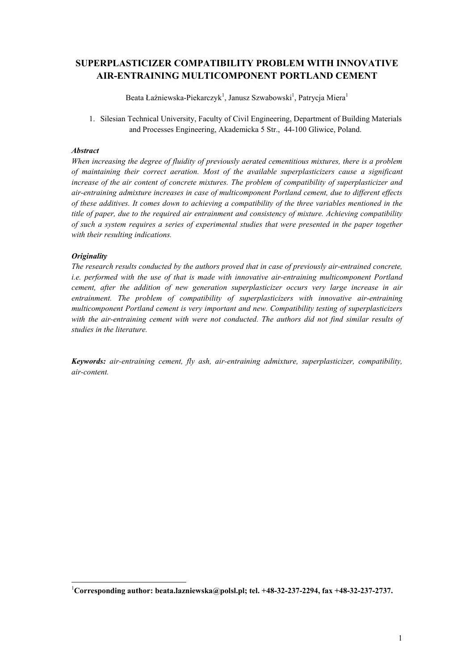# **SUPERPLASTICIZER COMPATIBILITY PROBLEM WITH INNOVATIVE AIR-ENTRAINING MULTICOMPONENT PORTLAND CEMENT**

Beata Łaźniewska-Piekarczyk<sup>1</sup>, Janusz Szwabowski<sup>1</sup>, Patrycja Miera<sup>1</sup>

1. Silesian Technical University, Faculty of Civil Engineering, Department of Building Materials and Processes Engineering, Akademicka 5 Str., 44-100 Gliwice, Poland.

# *Abstract*

*When increasing the degree of fluidity of previously aerated cementitious mixtures, there is a problem of maintaining their correct aeration. Most of the available superplasticizers cause a significant increase of the air content of concrete mixtures. The problem of compatibility of superplasticizer and air-entraining admixture increases in case of multicomponent Portland cement, due to different effects of these additives. It comes down to achieving a compatibility of the three variables mentioned in the title of paper, due to the required air entrainment and consistency of mixture. Achieving compatibility of such a system requires a series of experimental studies that were presented in the paper together with their resulting indications.*

# *Originality*

*The research results conducted by the authors proved that in case of previously air-entrained concrete, i.e. performed with the use of that is made with innovative air-entraining multicomponent Portland cement, after the addition of new generation superplasticizer occurs very large increase in air entrainment. The problem of compatibility of superplasticizers with innovative air-entraining multicomponent Portland cement is very important and new. Compatibility testing of superplasticizers with the air-entraining cement with were not conducted. The authors did not find similar results of studies in the literature.*

*Keywords: air-entraining cement, fly ash, air-entraining admixture, superplasticizer, compatibility, air-content.*

 <sup>1</sup> **Corresponding author: beata.lazniewska@polsl.pl; tel. +48-32-237-2294, fax +48-32-237-2737.**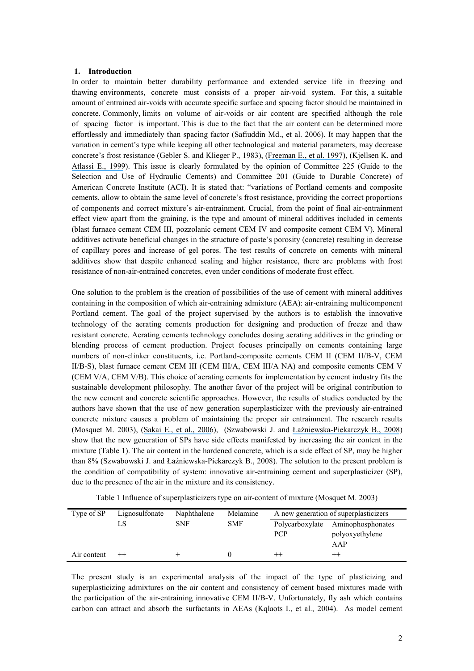#### **1. Introduction**

In order to maintain better durability performance and extended service life in freezing and thawing environments, concrete must consists of a proper air-void system. For this, a suitable amount of entrained air-voids with accurate specific surface and spacing factor should be maintained in concrete. Commonly, limits on volume of air-voids or air content are specified although the role of spacing factor is important. This is due to the fact that the air content can be determined more effortlessly and immediately than spacing factor (Safiuddin Md., et al. 2006). It may happen that the variation in cement's type while keeping all other technological and material parameters, may decrease concrete's frost resistance (Gebler S. and Klieger P., 1983), ([Freeman E., et al.](https://www.researchgate.net/publication/222856884_Interactions_of_carbon-containing_fly_ash_with_commercial_air-entraining_admixtures_for_concrete?el=1_x_8&enrichId=rgreq-1e2414c3b435bb5acfa0a57271403cda-XXX&enrichSource=Y292ZXJQYWdlOzI5MDM5MjcxNjtBUzozMTc0ODMyMDQ5NzI1NDVAMTQ1MjcwNTMwMjY0OQ==) 1997), (Kjellsen K. and [Atlassi E., 1999](https://www.researchgate.net/publication/223024369_Pore_structure_of_cement_silica_fume_system_Presence_of_hollow-shell_pores?el=1_x_8&enrichId=rgreq-1e2414c3b435bb5acfa0a57271403cda-XXX&enrichSource=Y292ZXJQYWdlOzI5MDM5MjcxNjtBUzozMTc0ODMyMDQ5NzI1NDVAMTQ1MjcwNTMwMjY0OQ==)). This issue is clearly formulated by the opinion of Committee 225 (Guide to the Selection and Use of Hydraulic Cements) and Committee 201 (Guide to Durable Concrete) of American Concrete Institute (ACI). It is stated that: "variations of Portland cements and composite cements, allow to obtain the same level of concrete's frost resistance, providing the correct proportions of components and correct mixture's air-entrainment. Crucial, from the point of final air-entrainment effect view apart from the graining, is the type and amount of mineral additives included in cements (blast furnace cement CEM III, pozzolanic cement CEM IV and composite cement CEM V). Mineral additives activate beneficial changes in the structure of paste's porosity (concrete) resulting in decrease of capillary pores and increase of gel pores. The test results of concrete on cements with mineral additives show that despite enhanced sealing and higher resistance, there are problems with frost resistance of non-air-entrained concretes, even under conditions of moderate frost effect.

One solution to the problem is the creation of possibilities of the use of cement with mineral additives containing in the composition of which air-entraining admixture (AEA): air-entraining multicomponent Portland cement. The goal of the project supervised by the authors is to establish the innovative technology of the aerating cements production for designing and production of freeze and thaw resistant concrete. Aerating cements technology concludes dosing aerating additives in the grinding or blending process of cement production. Project focuses principally on cements containing large numbers of non-clinker constituents, i.e. Portland-composite cements CEM II (CEM II/B-V, CEM II/B-S), blast furnace cement CEM III (CEM III/A, CEM III/A NA) and composite cements CEM V (CEM V/A, CEM V/B). This choice of aerating cements for implementation by cement industry fits the sustainable development philosophy. The another favor of the project will be original contribution to the new cement and concrete scientific approaches. However, the results of studies conducted by the authors have shown that the use of new generation superplasticizer with the previously air-entrained concrete mixture causes a problem of maintaining the proper air entrainment. The research results (Mosquet M. 2003), (Sakai E., [et al., 2006](https://www.researchgate.net/publication/222309215_Influence_of_superplasticizers_on_the_hydration_of_cement_and_the_pore_structure_of_hardened_cement?el=1_x_8&enrichId=rgreq-1e2414c3b435bb5acfa0a57271403cda-XXX&enrichSource=Y292ZXJQYWdlOzI5MDM5MjcxNjtBUzozMTc0ODMyMDQ5NzI1NDVAMTQ1MjcwNTMwMjY0OQ==)), (Szwabowski J. and [Łaźniewska-Piekarczyk B., 2008](https://www.researchgate.net/publication/283876457_The_increase_of_air_content_in_SCC_mixes_under_the_influence_of_carboxylate_superplasticizer?el=1_x_8&enrichId=rgreq-1e2414c3b435bb5acfa0a57271403cda-XXX&enrichSource=Y292ZXJQYWdlOzI5MDM5MjcxNjtBUzozMTc0ODMyMDQ5NzI1NDVAMTQ1MjcwNTMwMjY0OQ==)) show that the new generation of SPs have side effects manifested by increasing the air content in the mixture (Table 1). The air content in the hardened concrete, which is a side effect of SP, may be higher than 8% (Szwabowski J. and Łaźniewska-Piekarczyk B., 2008). The solution to the present problem is the condition of compatibility of system: innovative air-entraining cement and superplasticizer (SP), due to the presence of the air in the mixture and its consistency.

| Table 1 Influence of superplasticizers type on air-content of mixture (Mosquet M. 2003) |  |  |  |
|-----------------------------------------------------------------------------------------|--|--|--|
|-----------------------------------------------------------------------------------------|--|--|--|

| Type of SP  | Lignosulfonate | Naphthalene | Melamine   | A new generation of superplasticizers |                        |
|-------------|----------------|-------------|------------|---------------------------------------|------------------------|
|             |                | <b>SNF</b>  | <b>SMF</b> | Polycarboxylate<br><b>PCP</b>         | Aminophosphonates      |
|             |                |             |            |                                       | polyoxyethylene<br>AAP |
| Air content | $++$           |             |            | $^{++}$                               |                        |

The present study is an experimental analysis of the impact of the type of plasticizing and superplasticizing admixtures on the air content and consistency of cement based mixtures made with the participation of the air-entraining innovative CEM II/B-V. Unfortunately, fly ash which contains carbon can attract and absorb the surfactants in AEAs ([Kqlaots I., et al., 2004](https://www.researchgate.net/publication/223719423_Size_distribution_of_burned_carbon_in_coal_fly_ash_and_its_implications?el=1_x_8&enrichId=rgreq-1e2414c3b435bb5acfa0a57271403cda-XXX&enrichSource=Y292ZXJQYWdlOzI5MDM5MjcxNjtBUzozMTc0ODMyMDQ5NzI1NDVAMTQ1MjcwNTMwMjY0OQ==)). As model cement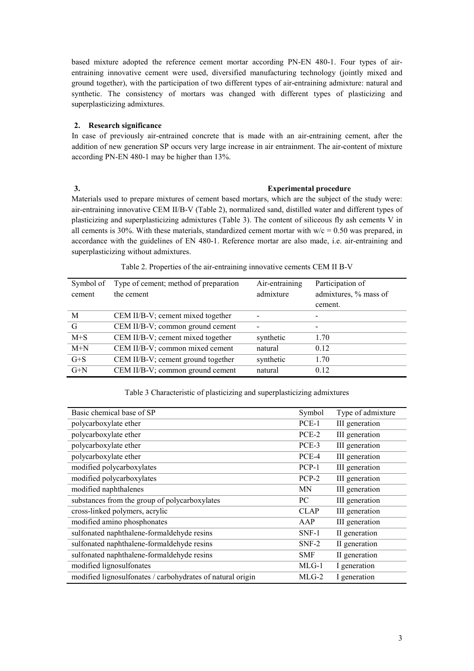based mixture adopted the reference cement mortar according PN-EN 480-1. Four types of airentraining innovative cement were used, diversified manufacturing technology (jointly mixed and ground together), with the participation of two different types of air-entraining admixture: natural and synthetic. The consistency of mortars was changed with different types of plasticizing and superplasticizing admixtures.

# **2. Research significance**

In case of previously air-entrained concrete that is made with an air-entraining cement, after the addition of new generation SP occurs very large increase in air entrainment. The air-content of mixture according PN-EN 480-1 may be higher than 13%.

# **3. Experimental procedure**

Materials used to prepare mixtures of cement based mortars, which are the subject of the study were: air-entraining innovative CEM II/B-V (Table 2), normalized sand, distilled water and different types of plasticizing and superplasticizing admixtures (Table 3). The content of siliceous fly ash cements V in all cements is 30%. With these materials, standardized cement mortar with  $w/c = 0.50$  was prepared, in accordance with the guidelines of EN 480-1. Reference mortar are also made, i.e. air-entraining and superplasticizing without admixtures.

| Symbol of<br>cement | Type of cement; method of preparation<br>the cement | Air-entraining<br>admixture | Participation of<br>admixtures, % mass of<br>cement. |
|---------------------|-----------------------------------------------------|-----------------------------|------------------------------------------------------|
| M                   | CEM II/B-V; cement mixed together                   |                             |                                                      |
| G                   | CEM II/B-V; common ground cement                    |                             |                                                      |
| $M+S$               | CEM II/B-V; cement mixed together                   | synthetic                   | 1.70                                                 |
| $M+N$               | CEM II/B-V; common mixed cement                     | natural                     | 0.12                                                 |
| $G + S$             | CEM II/B-V; cement ground together                  | synthetic                   | 1.70                                                 |
| $G+N$               | CEM II/B-V; common ground cement                    | natural                     | 0.12                                                 |

# Table 2. Properties of the air-entraining innovative cements CEM II B-V

## Table 3 Characteristic of plasticizing and superplasticizing admixtures

| Basic chemical base of SP                                  | Symbol      | Type of admixture |
|------------------------------------------------------------|-------------|-------------------|
| polycarboxylate ether                                      | PCE-1       | III generation    |
| polycarboxylate ether                                      | PCE-2       | III generation    |
| polycarboxylate ether                                      | PCE-3       | III generation    |
| polycarboxylate ether                                      | PCE-4       | III generation    |
| modified polycarboxylates                                  | $PCP-1$     | III generation    |
| modified polycarboxylates                                  | $PCP-2$     | III generation    |
| modified naphthalenes                                      | MΝ          | III generation    |
| substances from the group of polycarboxylates              | PC          | III generation    |
| cross-linked polymers, acrylic                             | <b>CLAP</b> | III generation    |
| modified amino phosphonates                                | AAP         | III generation    |
| sulfonated naphthalene-formaldehyde resins                 | SNF-1       | II generation     |
| sulfonated naphthalene-formaldehyde resins                 | $SNF-2$     | II generation     |
| sulfonated naphthalene-formaldehyde resins                 | <b>SMF</b>  | II generation     |
| modified lignosulfonates                                   | $MLG-1$     | I generation      |
| modified lignosulfonates / carbohydrates of natural origin | $MLG-2$     | I generation      |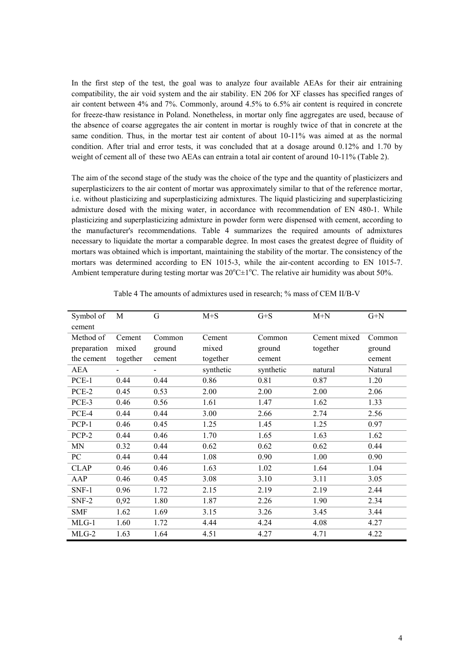In the first step of the test, the goal was to analyze four available AEAs for their air entraining compatibility, the air void system and the air stability. EN 206 for XF classes has specified ranges of air content between 4% and 7%. Commonly, around 4.5% to 6.5% air content is required in concrete for freeze-thaw resistance in Poland. Nonetheless, in mortar only fine aggregates are used, because of the absence of coarse aggregates the air content in mortar is roughly twice of that in concrete at the same condition. Thus, in the mortar test air content of about 10-11% was aimed at as the normal condition. After trial and error tests, it was concluded that at a dosage around 0.12% and 1.70 by weight of cement all of these two AEAs can entrain a total air content of around 10-11% (Table 2).

The aim of the second stage of the study was the choice of the type and the quantity of plasticizers and superplasticizers to the air content of mortar was approximately similar to that of the reference mortar, i.e. without plasticizing and superplasticizing admixtures. The liquid plasticizing and superplasticizing admixture dosed with the mixing water, in accordance with recommendation of EN 480-1. While plasticizing and superplasticizing admixture in powder form were dispensed with cement, according to the manufacturer's recommendations. Table 4 summarizes the required amounts of admixtures necessary to liquidate the mortar a comparable degree. In most cases the greatest degree of fluidity of mortars was obtained which is important, maintaining the stability of the mortar. The consistency of the mortars was determined according to EN 1015-3, while the air-content according to EN 1015-7. Ambient temperature during testing mortar was  $20^{\circ}$ C $\pm$ 1°C. The relative air humidity was about 50%.

| Symbol of   | M        | G      | $M+S$     | $G + S$   | $M+N$        | $G+N$   |
|-------------|----------|--------|-----------|-----------|--------------|---------|
| cement      |          |        |           |           |              |         |
| Method of   | Cement   | Common | Cement    | Common    | Cement mixed | Common  |
| preparation | mixed    | ground | mixed     | ground    | together     | ground  |
| the cement  | together | cement | together  | cement    |              | cement  |
| AEA         |          |        | synthetic | synthetic | natural      | Natural |
| PCE-1       | 0.44     | 0.44   | 0.86      | 0.81      | 0.87         | 1.20    |
| PCE-2       | 0.45     | 0.53   | 2.00      | 2.00      | 2.00         | 2.06    |
| PCE-3       | 0.46     | 0.56   | 1.61      | 1.47      | 1.62         | 1.33    |
| PCE-4       | 0.44     | 0.44   | 3.00      | 2.66      | 2.74         | 2.56    |
| PCP-1       | 0.46     | 0.45   | 1.25      | 1.45      | 1.25         | 0.97    |
| PCP-2       | 0.44     | 0.46   | 1.70      | 1.65      | 1.63         | 1.62    |
| <b>MN</b>   | 0.32     | 0.44   | 0.62      | 0.62      | 0.62         | 0.44    |
| PC          | 0.44     | 0.44   | 1.08      | 0.90      | 1.00         | 0.90    |
| <b>CLAP</b> | 0.46     | 0.46   | 1.63      | 1.02      | 1.64         | 1.04    |
| AAP         | 0.46     | 0.45   | 3.08      | 3.10      | 3.11         | 3.05    |
| $SNF-1$     | 0.96     | 1.72   | 2.15      | 2.19      | 2.19         | 2.44    |
| $SNF-2$     | 0,92     | 1.80   | 1.87      | 2.26      | 1.90         | 2.34    |
| <b>SMF</b>  | 1.62     | 1.69   | 3.15      | 3.26      | 3.45         | 3.44    |
| $MLG-1$     | 1.60     | 1.72   | 4.44      | 4.24      | 4.08         | 4.27    |
| $MLG-2$     | 1.63     | 1.64   | 4.51      | 4.27      | 4.71         | 4.22    |

Table 4 The amounts of admixtures used in research; % mass of CEM II/B-V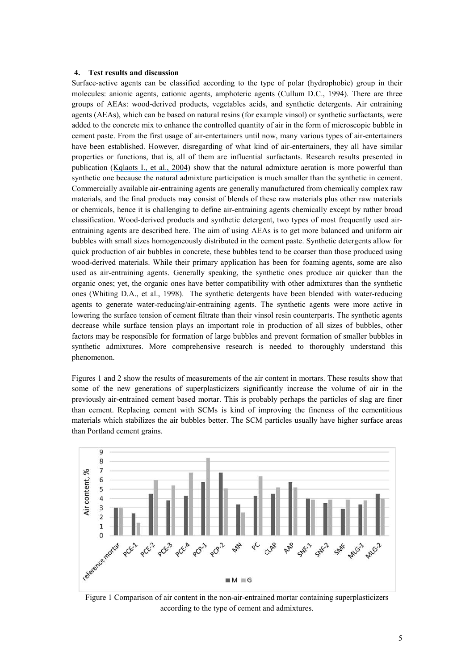#### **4. Test results and discussion**

Surface-active agents can be classified according to the type of polar (hydrophobic) group in their molecules: anionic agents, cationic agents, amphoteric agents (Cullum D.C., 1994). There are three groups of AEAs: wood-derived products, vegetables acids, and synthetic detergents. Air entraining agents (AEAs), which can be based on natural resins (for example vinsol) or synthetic surfactants, were added to the concrete mix to enhance the controlled quantity of air in the form of microscopic bubble in cement paste. From the first usage of air-entertainers until now, many various types of air-entertainers have been established. However, disregarding of what kind of air-entertainers, they all have similar properties or functions, that is, all of them are influential surfactants. Research results presented in publication ([Kqlaots I., et al., 2004](https://www.researchgate.net/publication/223719423_Size_distribution_of_burned_carbon_in_coal_fly_ash_and_its_implications?el=1_x_8&enrichId=rgreq-1e2414c3b435bb5acfa0a57271403cda-XXX&enrichSource=Y292ZXJQYWdlOzI5MDM5MjcxNjtBUzozMTc0ODMyMDQ5NzI1NDVAMTQ1MjcwNTMwMjY0OQ==)) show that the natural admixture aeration is more powerful than synthetic one because the natural admixture participation is much smaller than the synthetic in cement. Commercially available air-entraining agents are generally manufactured from chemically complex raw materials, and the final products may consist of blends of these raw materials plus other raw materials or chemicals, hence it is challenging to define air-entraining agents chemically except by rather broad classification. Wood-derived products and synthetic detergent, two types of most frequently used airentraining agents are described here. The aim of using AEAs is to get more balanced and uniform air bubbles with small sizes homogeneously distributed in the cement paste. Synthetic detergents allow for quick production of air bubbles in concrete, these bubbles tend to be coarser than those produced using wood-derived materials. While their primary application has been for foaming agents, some are also used as air-entraining agents. Generally speaking, the synthetic ones produce air quicker than the organic ones; yet, the organic ones have better compatibility with other admixtures than the synthetic ones (Whiting D.A., et al., 1998). The synthetic detergents have been blended with water-reducing agents to generate water-reducing/air-entraining agents. The synthetic agents were more active in lowering the surface tension of cement filtrate than their vinsol resin counterparts. The synthetic agents decrease while surface tension plays an important role in production of all sizes of bubbles, other factors may be responsible for formation of large bubbles and prevent formation of smaller bubbles in synthetic admixtures. More comprehensive research is needed to thoroughly understand this phenomenon.

Figures 1 and 2 show the results of measurements of the air content in mortars. These results show that some of the new generations of superplasticizers significantly increase the volume of air in the previously air-entrained cement based mortar. This is probably perhaps the particles of slag are finer than cement. Replacing cement with SCMs is kind of improving the fineness of the cementitious materials which stabilizes the air bubbles better. The SCM particles usually have higher surface areas than Portland cement grains.



Figure 1 Comparison of air content in the non-air-entrained mortar containing superplasticizers according to the type of cement and admixtures.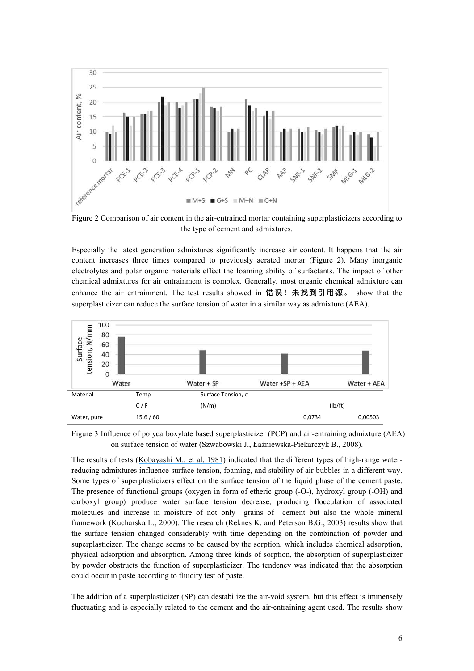

Figure 2 Comparison of air content in the air-entrained mortar containing superplasticizers according to the type of cement and admixtures.

Especially the latest generation admixtures significantly increase air content. It happens that the air content increases three times compared to previously aerated mortar (Figure 2). Many inorganic electrolytes and polar organic materials effect the foaming ability of surfactants. The impact of other chemical admixtures for air entrainment is complex. Generally, most organic chemical admixture can enhance the air entrainment. The test results showed in 错误! 未找到引用源。 show that the superplasticizer can reduce the surface tension of water in a similar way as admixture (AEA).



Figure 3 Influence of polycarboxylate based superplasticizer (PCP) and air-entraining admixture (AEA) on surface tension of water (Szwabowski J., Łaźniewska-Piekarczyk B., 2008).

The results of tests ([Kobayashi M., et al. 1981](https://www.researchgate.net/publication/285738498_Frost_resistance_of_superplasticized_concrete?el=1_x_8&enrichId=rgreq-1e2414c3b435bb5acfa0a57271403cda-XXX&enrichSource=Y292ZXJQYWdlOzI5MDM5MjcxNjtBUzozMTc0ODMyMDQ5NzI1NDVAMTQ1MjcwNTMwMjY0OQ==)) indicated that the different types of high-range waterreducing admixtures influence surface tension, foaming, and stability of air bubbles in a different way. Some types of superplasticizers effect on the surface tension of the liquid phase of the cement paste. The presence of functional groups (oxygen in form of etheric group (-O-), hydroxyl group (-OH) and carboxyl group) produce water surface tension decrease, producing flocculation of associated molecules and increase in moisture of not only grains of cement but also the whole mineral framework (Kucharska L., 2000). The research (Reknes K. and Peterson B.G., 2003) results show that the surface tension changed considerably with time depending on the combination of powder and superplasticizer. The change seems to be caused by the sorption, which includes chemical adsorption, physical adsorption and absorption. Among three kinds of sorption, the absorption of superplasticizer by powder obstructs the function of superplasticizer. The tendency was indicated that the absorption could occur in paste according to fluidity test of paste.

The addition of a superplasticizer (SP) can destabilize the air-void system, but this effect is immensely fluctuating and is especially related to the cement and the air-entraining agent used. The results show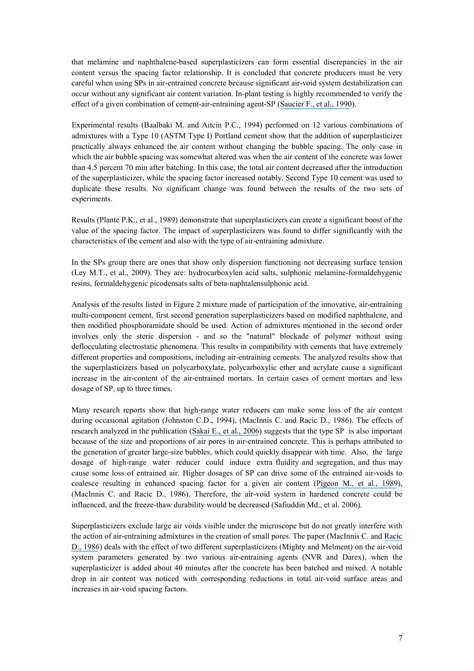that melamine and naphthalene-based superplasticizers can form essential discrepancies in the air content versus the spacing factor relationship. It is concluded that concrete producers must be very careful when using SPs in air-entrained concrete because significant air-void system destabilization can occur without any significant air content variation. In-plant testing is highly recommended to verify the effect of a given combination of cement-air-entraining agent-SP ([Saucier F., et al., 1990](https://www.researchgate.net/publication/279676003_Air-void_stability_part_III_Field_tests_of_superplasticized_concretes?el=1_x_8&enrichId=rgreq-1e2414c3b435bb5acfa0a57271403cda-XXX&enrichSource=Y292ZXJQYWdlOzI5MDM5MjcxNjtBUzozMTc0ODMyMDQ5NzI1NDVAMTQ1MjcwNTMwMjY0OQ==)).

Experimental results (Baalbaki M. and Aitcin P.C., 1994) performed on 12 various combinations of admixtures with a Type 10 (ASTM Type I) Portland cement show that the addition of superplasticizer practically always enhanced the air content without changing the bubble spacing. The only case in which the air bubble spacing was somewhat altered was when the air content of the concrete was lower than 4.5 percent 70 min after batching. In this case, the total air content decreased after the introduction of the superplasticizer, while the spacing factor increased notably. Second Type 10 cement was used to duplicate these results. No significant change was found between the results of the two sets of experiments.

Results (Plante P.K., et al., 1989) demonstrate that superplasticizers can create a significant boost of the value of the spacing factor. The impact of superplasticizers was found to differ significantly with the characteristics of the cement and also with the type of air-entraining admixture.

In the SPs group there are ones that show only dispersion functioning not decreasing surface tension (Ley M.T., et al., 2009). They are: hydrocarboxylen acid salts, sulphonic melamine-formaldehygenic resins, formaldehygenic picodensats salts of beta-naphtalensulphonic acid.

Analysis of the results listed in Figure 2 mixture made of participation of the innovative, air-entraining multi-component cement, first second generation superplasticizers based on modified naphthalene, and then modified phosphoramidate should be used. Action of admixtures mentioned in the second order involves only the steric dispersion - and so the "natural" blockade of polymer without using deflocculating electrostatic phenomena. This results in compatibility with cements that have extremely different properties and compositions, including air-entraining cements. The analyzed results show that the superplasticizers based on polycarboxylate, polycarboxylic ether and acrylate cause a significant increase in the air-content of the air-entrained mortars. In certain cases of cement mortars and less dosage of SP, up to three times.

Many research reports show that high-range water reducers can make some loss of the air content during occasional agitation (Johnston C.D., 1994), (MacInnis C. and Racic D., 1986). The effects of research analyzed in the publication ([Sakai E., et al., 2006](https://www.researchgate.net/publication/222309215_Influence_of_superplasticizers_on_the_hydration_of_cement_and_the_pore_structure_of_hardened_cement?el=1_x_8&enrichId=rgreq-1e2414c3b435bb5acfa0a57271403cda-XXX&enrichSource=Y292ZXJQYWdlOzI5MDM5MjcxNjtBUzozMTc0ODMyMDQ5NzI1NDVAMTQ1MjcwNTMwMjY0OQ==)) suggests that the type SP is also important because of the size and proportions of air pores in air-entrained concrete. This is perhaps attributed to the generation of greater large-size bubbles, which could quickly disappear with time. Also, the large dosage of high-range water reducer could induce extra fluidity and segregation, and thus may cause some loss of entrained air. Higher dosages of SP can drive some of the entrained air-voids to coalesce resulting in enhanced spacing factor for a given air content ([Pigeon M., et al., 1989](https://www.researchgate.net/publication/279676046_Air-void_Stability_Part_I_Influence_of_Silica_Fume_and_Other_Parameters?el=1_x_8&enrichId=rgreq-1e2414c3b435bb5acfa0a57271403cda-XXX&enrichSource=Y292ZXJQYWdlOzI5MDM5MjcxNjtBUzozMTc0ODMyMDQ5NzI1NDVAMTQ1MjcwNTMwMjY0OQ==)), (MacInnis C. and Racic D., 1986). Therefore, the air-void system in hardened concrete could be influenced, and the freeze-thaw durability would be decreased (Safiuddin Md., et al. 2006).

Superplasticizers exclude large air voids visible under the microscope but do not greatly interfere with the action of air-entraining admixtures in the creation of small pores. The paper (MacInnis C. and [Racic](https://www.researchgate.net/publication/248355711_The_effect_of_superplasticizers_on_the_entrained_air-void_system_in_concrete?el=1_x_8&enrichId=rgreq-1e2414c3b435bb5acfa0a57271403cda-XXX&enrichSource=Y292ZXJQYWdlOzI5MDM5MjcxNjtBUzozMTc0ODMyMDQ5NzI1NDVAMTQ1MjcwNTMwMjY0OQ==) [D., 1986](https://www.researchgate.net/publication/248355711_The_effect_of_superplasticizers_on_the_entrained_air-void_system_in_concrete?el=1_x_8&enrichId=rgreq-1e2414c3b435bb5acfa0a57271403cda-XXX&enrichSource=Y292ZXJQYWdlOzI5MDM5MjcxNjtBUzozMTc0ODMyMDQ5NzI1NDVAMTQ1MjcwNTMwMjY0OQ==)) deals with the effect of two different superplasticizers (Mighty and Melment) on the air-void system parameters generated by two various air-entraining agents (NVR and Darex), when the superplasticizer is added about 40 minutes after the concrete has been batched and mixed. A notable drop in air content was noticed with corresponding reductions in total air-void surface areas and increases in air-void spacing factors.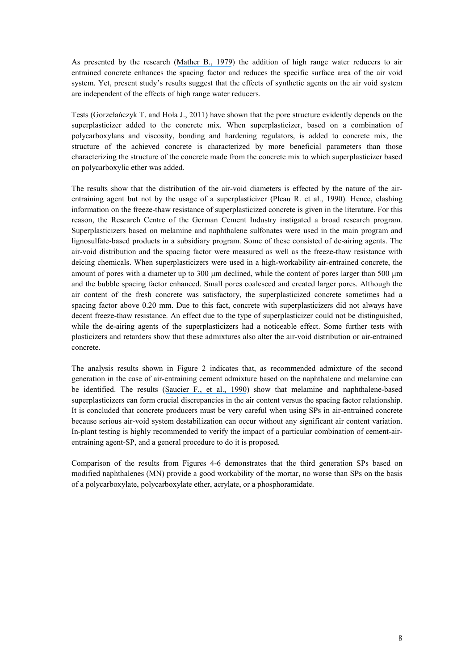As presented by the research ([Mather B., 1979](https://www.researchgate.net/publication/253107821_Tests_of_high-range_water-reducing_admixtures?el=1_x_8&enrichId=rgreq-1e2414c3b435bb5acfa0a57271403cda-XXX&enrichSource=Y292ZXJQYWdlOzI5MDM5MjcxNjtBUzozMTc0ODMyMDQ5NzI1NDVAMTQ1MjcwNTMwMjY0OQ==)) the addition of high range water reducers to air entrained concrete enhances the spacing factor and reduces the specific surface area of the air void system. Yet, present study's results suggest that the effects of synthetic agents on the air void system are independent of the effects of high range water reducers.

Tests (Gorzelańczyk T. and Hoła J., 2011) have shown that the pore structure evidently depends on the superplasticizer added to the concrete mix. When superplasticizer, based on a combination of polycarboxylans and viscosity, bonding and hardening regulators, is added to concrete mix, the structure of the achieved concrete is characterized by more beneficial parameters than those characterizing the structure of the concrete made from the concrete mix to which superplasticizer based on polycarboxylic ether was added.

The results show that the distribution of the air-void diameters is effected by the nature of the airentraining agent but not by the usage of a superplasticizer (Pleau R. et al., 1990). Hence, clashing information on the freeze-thaw resistance of superplasticized concrete is given in the literature. For this reason, the Research Centre of the German Cement Industry instigated a broad research program. Superplasticizers based on melamine and naphthalene sulfonates were used in the main program and lignosulfate-based products in a subsidiary program. Some of these consisted of de-airing agents. The air-void distribution and the spacing factor were measured as well as the freeze-thaw resistance with deicing chemicals. When superplasticizers were used in a high-workability air-entrained concrete, the amount of pores with a diameter up to  $300 \mu m$  declined, while the content of pores larger than  $500 \mu m$ and the bubble spacing factor enhanced. Small pores coalesced and created larger pores. Although the air content of the fresh concrete was satisfactory, the superplasticized concrete sometimes had a spacing factor above 0.20 mm. Due to this fact, concrete with superplasticizers did not always have decent freeze-thaw resistance. An effect due to the type of superplasticizer could not be distinguished, while the de-airing agents of the superplasticizers had a noticeable effect. Some further tests with plasticizers and retarders show that these admixtures also alter the air-void distribution or air-entrained concrete.

The analysis results shown in Figure 2 indicates that, as recommended admixture of the second generation in the case of air-entraining cement admixture based on the naphthalene and melamine can be identified. The results ([Saucier F., et al., 1990](https://www.researchgate.net/publication/279676003_Air-void_stability_part_III_Field_tests_of_superplasticized_concretes?el=1_x_8&enrichId=rgreq-1e2414c3b435bb5acfa0a57271403cda-XXX&enrichSource=Y292ZXJQYWdlOzI5MDM5MjcxNjtBUzozMTc0ODMyMDQ5NzI1NDVAMTQ1MjcwNTMwMjY0OQ==)) show that melamine and naphthalene-based superplasticizers can form crucial discrepancies in the air content versus the spacing factor relationship. It is concluded that concrete producers must be very careful when using SPs in air-entrained concrete because serious air-void system destabilization can occur without any significant air content variation. In-plant testing is highly recommended to verify the impact of a particular combination of cement-airentraining agent-SP, and a general procedure to do it is proposed.

Comparison of the results from Figures 4-6 demonstrates that the third generation SPs based on modified naphthalenes (MN) provide a good workability of the mortar, no worse than SPs on the basis of a polycarboxylate, polycarboxylate ether, acrylate, or a phosphoramidate.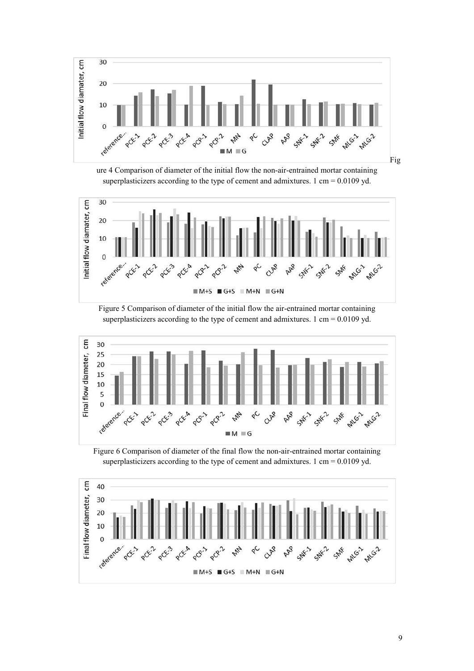

ure 4 Comparison of diameter of the initial flow the non-air-entrained mortar containing superplasticizers according to the type of cement and admixtures. 1 cm =  $0.0109$  yd.







Figure 6 Comparison of diameter of the final flow the non-air-entrained mortar containing superplasticizers according to the type of cement and admixtures. 1 cm = 0.0109 yd.

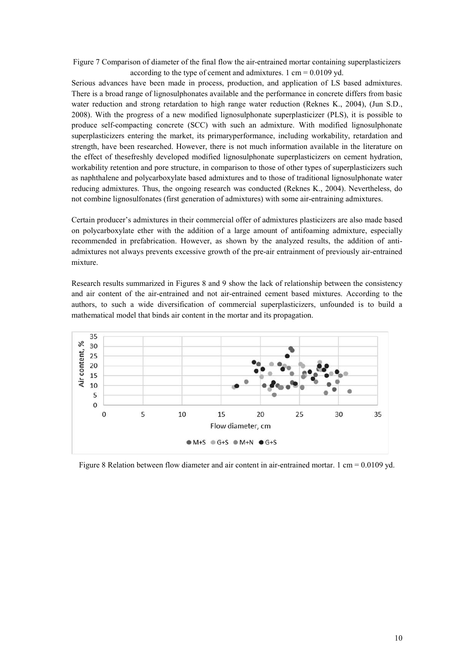Figure 7 Comparison of diameter of the final flow the air-entrained mortar containing superplasticizers according to the type of cement and admixtures. 1 cm =  $0.0109$  yd.

Serious advances have been made in process, production, and application of LS based admixtures. There is a broad range of lignosulphonates available and the performance in concrete differs from basic water reduction and strong retardation to high range water reduction (Reknes K., 2004), (Jun S.D., 2008). With the progress of a new modified lignosulphonate superplasticizer (PLS), it is possible to produce self-compacting concrete (SCC) with such an admixture. With modified lignosulphonate superplasticizers entering the market, its primaryperformance, including workability, retardation and strength, have been researched. However, there is not much information available in the literature on the effect of thesefreshly developed modified lignosulphonate superplasticizers on cement hydration, workability retention and pore structure, in comparison to those of other types of superplasticizers such as naphthalene and polycarboxylate based admixtures and to those of traditional lignosulphonate water reducing admixtures. Thus, the ongoing research was conducted (Reknes K., 2004). Nevertheless, do not combine lignosulfonates (first generation of admixtures) with some air-entraining admixtures.

Certain producer's admixtures in their commercial offer of admixtures plasticizers are also made based on polycarboxylate ether with the addition of a large amount of antifoaming admixture, especially recommended in prefabrication. However, as shown by the analyzed results, the addition of antiadmixtures not always prevents excessive growth of the pre-air entrainment of previously air-entrained mixture.

Research results summarized in Figures 8 and 9 show the lack of relationship between the consistency and air content of the air-entrained and not air-entrained cement based mixtures. According to the authors, to such a wide diversification of commercial superplasticizers, unfounded is to build a mathematical model that binds air content in the mortar and its propagation.



Figure 8 Relation between flow diameter and air content in air-entrained mortar. 1 cm = 0.0109 yd.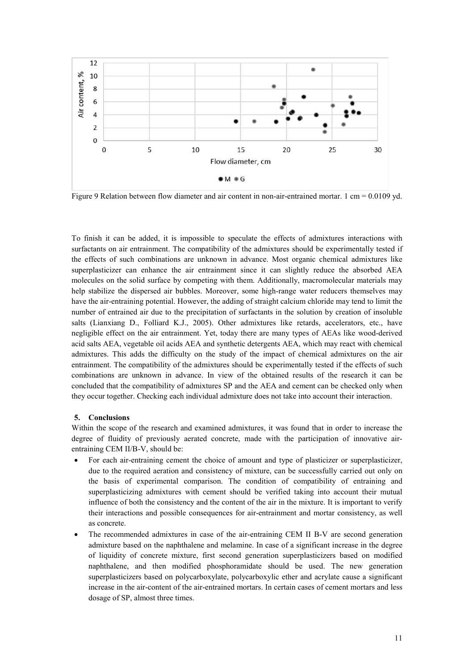

Figure 9 Relation between flow diameter and air content in non-air-entrained mortar. 1 cm = 0.0109 yd.

To finish it can be added, it is impossible to speculate the effects of admixtures interactions with surfactants on air entrainment. The compatibility of the admixtures should be experimentally tested if the effects of such combinations are unknown in advance. Most organic chemical admixtures like superplasticizer can enhance the air entrainment since it can slightly reduce the absorbed AEA molecules on the solid surface by competing with them. Additionally, macromolecular materials may help stabilize the dispersed air bubbles. Moreover, some high-range water reducers themselves may have the air-entraining potential. However, the adding of straight calcium chloride may tend to limit the number of entrained air due to the precipitation of surfactants in the solution by creation of insoluble salts (Lianxiang D., Folliard K.J., 2005). Other admixtures like retards, accelerators, etc., have negligible effect on the air entrainment. Yet, today there are many types of AEAs like wood-derived acid salts AEA, vegetable oil acids AEA and synthetic detergents AEA, which may react with chemical admixtures. This adds the difficulty on the study of the impact of chemical admixtures on the air entrainment. The compatibility of the admixtures should be experimentally tested if the effects of such combinations are unknown in advance. In view of the obtained results of the research it can be concluded that the compatibility of admixtures SP and the AEA and cement can be checked only when they occur together. Checking each individual admixture does not take into account their interaction.

# **5. Conclusions**

Within the scope of the research and examined admixtures, it was found that in order to increase the degree of fluidity of previously aerated concrete, made with the participation of innovative airentraining CEM II/B-V, should be:

- For each air-entraining cement the choice of amount and type of plasticizer or superplasticizer, due to the required aeration and consistency of mixture, can be successfully carried out only on the basis of experimental comparison. The condition of compatibility of entraining and superplasticizing admixtures with cement should be verified taking into account their mutual influence of both the consistency and the content of the air in the mixture. It is important to verify their interactions and possible consequences for air-entrainment and mortar consistency, as well as concrete.
- The recommended admixtures in case of the air-entraining CEM II B-V are second generation admixture based on the naphthalene and melamine. In case of a significant increase in the degree of liquidity of concrete mixture, first second generation superplasticizers based on modified naphthalene, and then modified phosphoramidate should be used. The new generation superplasticizers based on polycarboxylate, polycarboxylic ether and acrylate cause a significant increase in the air-content of the air-entrained mortars. In certain cases of cement mortars and less dosage of SP, almost three times.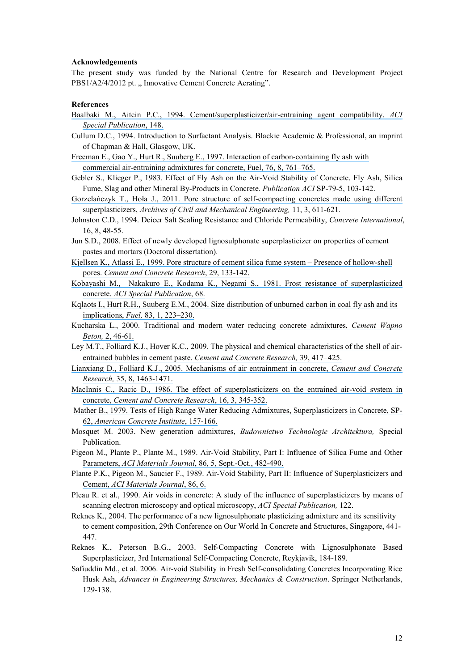#### **Acknowledgements**

The present study was funded by the National Centre for Research and Development Project PBS1/A2/4/2012 pt., Innovative Cement Concrete Aerating".

#### **References**

- [Baalbaki M., Aitcin P.C., 1994. Cement/superplasticizer/air-entraining agent compatibility.](https://www.researchgate.net/publication/286148566_Cementsuperplasticizerair-entraining_agent_compatibility?el=1_x_8&enrichId=rgreq-1e2414c3b435bb5acfa0a57271403cda-XXX&enrichSource=Y292ZXJQYWdlOzI5MDM5MjcxNjtBUzozMTc0ODMyMDQ5NzI1NDVAMTQ1MjcwNTMwMjY0OQ==) *ACI [Special Publication](https://www.researchgate.net/publication/286148566_Cementsuperplasticizerair-entraining_agent_compatibility?el=1_x_8&enrichId=rgreq-1e2414c3b435bb5acfa0a57271403cda-XXX&enrichSource=Y292ZXJQYWdlOzI5MDM5MjcxNjtBUzozMTc0ODMyMDQ5NzI1NDVAMTQ1MjcwNTMwMjY0OQ==)*, 148.
- Cullum D.C., 1994. Introduction to Surfactant Analysis. Blackie Academic & Professional, an imprint of Chapman & Hall, Glasgow, UK.
- [Freeman E., Gao Y., Hurt R., Suuberg E., 1997. Interaction of carbon-containing fly ash with](https://www.researchgate.net/publication/222856884_Interactions_of_carbon-containing_fly_ash_with_commercial_air-entraining_admixtures_for_concrete?el=1_x_8&enrichId=rgreq-1e2414c3b435bb5acfa0a57271403cda-XXX&enrichSource=Y292ZXJQYWdlOzI5MDM5MjcxNjtBUzozMTc0ODMyMDQ5NzI1NDVAMTQ1MjcwNTMwMjY0OQ==) [commercial air-entraining admixtures for concrete, Fuel, 76, 8, 761–765.](https://www.researchgate.net/publication/222856884_Interactions_of_carbon-containing_fly_ash_with_commercial_air-entraining_admixtures_for_concrete?el=1_x_8&enrichId=rgreq-1e2414c3b435bb5acfa0a57271403cda-XXX&enrichSource=Y292ZXJQYWdlOzI5MDM5MjcxNjtBUzozMTc0ODMyMDQ5NzI1NDVAMTQ1MjcwNTMwMjY0OQ==)
- Gebler S., Klieger P., 1983. Effect of Fly Ash on the Air-Void Stability of Concrete. Fly Ash, Silica Fume, Slag and other Mineral By-Products in Concrete. *Publication ACI* SP-79-5, 103-142.
- Gorzelańczyk T., Hoła J., 2011. [Pore structure of self-compacting concretes made using different](https://www.researchgate.net/publication/257678073_Pore_structure_of_self-compacting_concretes_made_using_different_superplasticizers?el=1_x_8&enrichId=rgreq-1e2414c3b435bb5acfa0a57271403cda-XXX&enrichSource=Y292ZXJQYWdlOzI5MDM5MjcxNjtBUzozMTc0ODMyMDQ5NzI1NDVAMTQ1MjcwNTMwMjY0OQ==) superplasticizers, *[Archives of Civil and Mechanical Engineering,](https://www.researchgate.net/publication/257678073_Pore_structure_of_self-compacting_concretes_made_using_different_superplasticizers?el=1_x_8&enrichId=rgreq-1e2414c3b435bb5acfa0a57271403cda-XXX&enrichSource=Y292ZXJQYWdlOzI5MDM5MjcxNjtBUzozMTc0ODMyMDQ5NzI1NDVAMTQ1MjcwNTMwMjY0OQ==)* 11, 3, 611-621.
- Johnston C.D., 1994. Deicer Salt Scaling Resistance and Chloride Permeability, *Concrete International*, 16, 8, 48-55.
- Jun S.D., 2008. Effect of newly developed lignosulphonate superplasticizer on properties of cement pastes and mortars (Doctoral dissertation).
- [Kjellsen K., Atlassi E., 1999. Pore structure of cement silica fume system](https://www.researchgate.net/publication/223024369_Pore_structure_of_cement_silica_fume_system_Presence_of_hollow-shell_pores?el=1_x_8&enrichId=rgreq-1e2414c3b435bb5acfa0a57271403cda-XXX&enrichSource=Y292ZXJQYWdlOzI5MDM5MjcxNjtBUzozMTc0ODMyMDQ5NzI1NDVAMTQ1MjcwNTMwMjY0OQ==) Presence of hollow-shell pores. *[Cement and Concrete Research](https://www.researchgate.net/publication/223024369_Pore_structure_of_cement_silica_fume_system_Presence_of_hollow-shell_pores?el=1_x_8&enrichId=rgreq-1e2414c3b435bb5acfa0a57271403cda-XXX&enrichSource=Y292ZXJQYWdlOzI5MDM5MjcxNjtBUzozMTc0ODMyMDQ5NzI1NDVAMTQ1MjcwNTMwMjY0OQ==)*, 29, 133-142.
- [Kobayashi M., Nakakuro E., Kodama K., Negami S., 1981. Frost resistance of superplasticized](https://www.researchgate.net/publication/285738498_Frost_resistance_of_superplasticized_concrete?el=1_x_8&enrichId=rgreq-1e2414c3b435bb5acfa0a57271403cda-XXX&enrichSource=Y292ZXJQYWdlOzI5MDM5MjcxNjtBUzozMTc0ODMyMDQ5NzI1NDVAMTQ1MjcwNTMwMjY0OQ==)  concrete. *[ACI Special Publication](https://www.researchgate.net/publication/285738498_Frost_resistance_of_superplasticized_concrete?el=1_x_8&enrichId=rgreq-1e2414c3b435bb5acfa0a57271403cda-XXX&enrichSource=Y292ZXJQYWdlOzI5MDM5MjcxNjtBUzozMTc0ODMyMDQ5NzI1NDVAMTQ1MjcwNTMwMjY0OQ==)*, 68.
- [Kqlaots I., Hurt R.H., Suuberg E.M., 2004. Size distribution of unburned carbon in coal fly ash and its](https://www.researchgate.net/publication/223719423_Size_distribution_of_burned_carbon_in_coal_fly_ash_and_its_implications?el=1_x_8&enrichId=rgreq-1e2414c3b435bb5acfa0a57271403cda-XXX&enrichSource=Y292ZXJQYWdlOzI5MDM5MjcxNjtBUzozMTc0ODMyMDQ5NzI1NDVAMTQ1MjcwNTMwMjY0OQ==) implications, *Fuel,* [83, 1, 223–230.](https://www.researchgate.net/publication/223719423_Size_distribution_of_burned_carbon_in_coal_fly_ash_and_its_implications?el=1_x_8&enrichId=rgreq-1e2414c3b435bb5acfa0a57271403cda-XXX&enrichSource=Y292ZXJQYWdlOzI5MDM5MjcxNjtBUzozMTc0ODMyMDQ5NzI1NDVAMTQ1MjcwNTMwMjY0OQ==)
- Kucharska [L., 2000. Traditional and modern water reducing concrete admixtures,](https://www.researchgate.net/publication/292585314_Traditional_and_modern_water_reducing_concrete_admixtures?el=1_x_8&enrichId=rgreq-1e2414c3b435bb5acfa0a57271403cda-XXX&enrichSource=Y292ZXJQYWdlOzI5MDM5MjcxNjtBUzozMTc0ODMyMDQ5NzI1NDVAMTQ1MjcwNTMwMjY0OQ==) *Cement Wapno Beton,* [2, 46-61.](https://www.researchgate.net/publication/292585314_Traditional_and_modern_water_reducing_concrete_admixtures?el=1_x_8&enrichId=rgreq-1e2414c3b435bb5acfa0a57271403cda-XXX&enrichSource=Y292ZXJQYWdlOzI5MDM5MjcxNjtBUzozMTc0ODMyMDQ5NzI1NDVAMTQ1MjcwNTMwMjY0OQ==)
- Ley M.T., Folliard K.J., Hover K.C., [2009. The physical and chemical characteristics of the shell of air](https://www.researchgate.net/publication/222255485_The_physical_and_chemical_characteristics_of_the_shell_of_air-entrained_bubbles_in_cement_paste?el=1_x_8&enrichId=rgreq-1e2414c3b435bb5acfa0a57271403cda-XXX&enrichSource=Y292ZXJQYWdlOzI5MDM5MjcxNjtBUzozMTc0ODMyMDQ5NzI1NDVAMTQ1MjcwNTMwMjY0OQ==)[entrained bubbles in cement paste.](https://www.researchgate.net/publication/222255485_The_physical_and_chemical_characteristics_of_the_shell_of_air-entrained_bubbles_in_cement_paste?el=1_x_8&enrichId=rgreq-1e2414c3b435bb5acfa0a57271403cda-XXX&enrichSource=Y292ZXJQYWdlOzI5MDM5MjcxNjtBUzozMTc0ODMyMDQ5NzI1NDVAMTQ1MjcwNTMwMjY0OQ==) *Cement and Concrete Research*, 39, 417–425.
- Lianxiang D., Folliard [K.J., 2005. Mechanisms of air entrainment in concrete,](https://www.researchgate.net/publication/222975255_Mechanisms_of_air_entrainment_in_concrete?el=1_x_8&enrichId=rgreq-1e2414c3b435bb5acfa0a57271403cda-XXX&enrichSource=Y292ZXJQYWdlOzI5MDM5MjcxNjtBUzozMTc0ODMyMDQ5NzI1NDVAMTQ1MjcwNTMwMjY0OQ==) *Cement and Concrete Research,* [35, 8, 1463-1471.](https://www.researchgate.net/publication/222975255_Mechanisms_of_air_entrainment_in_concrete?el=1_x_8&enrichId=rgreq-1e2414c3b435bb5acfa0a57271403cda-XXX&enrichSource=Y292ZXJQYWdlOzI5MDM5MjcxNjtBUzozMTc0ODMyMDQ5NzI1NDVAMTQ1MjcwNTMwMjY0OQ==)
- MacInnis C., Racic [D., 1986. The effect of superplasticizers on the entrained air-void system in](https://www.researchgate.net/publication/248355711_The_effect_of_superplasticizers_on_the_entrained_air-void_system_in_concrete?el=1_x_8&enrichId=rgreq-1e2414c3b435bb5acfa0a57271403cda-XXX&enrichSource=Y292ZXJQYWdlOzI5MDM5MjcxNjtBUzozMTc0ODMyMDQ5NzI1NDVAMTQ1MjcwNTMwMjY0OQ==)  concrete, *[Cement and Concrete Research](https://www.researchgate.net/publication/248355711_The_effect_of_superplasticizers_on_the_entrained_air-void_system_in_concrete?el=1_x_8&enrichId=rgreq-1e2414c3b435bb5acfa0a57271403cda-XXX&enrichSource=Y292ZXJQYWdlOzI5MDM5MjcxNjtBUzozMTc0ODMyMDQ5NzI1NDVAMTQ1MjcwNTMwMjY0OQ==)*, 16, 3, 345-352.
- Mather B., 1979. [Tests of High Range Water Reducing Admixtures, Superplasticizers in Concrete, SP-](https://www.researchgate.net/publication/253107821_Tests_of_high-range_water-reducing_admixtures?el=1_x_8&enrichId=rgreq-1e2414c3b435bb5acfa0a57271403cda-XXX&enrichSource=Y292ZXJQYWdlOzI5MDM5MjcxNjtBUzozMTc0ODMyMDQ5NzI1NDVAMTQ1MjcwNTMwMjY0OQ==)62, *[American Concrete Institute](https://www.researchgate.net/publication/253107821_Tests_of_high-range_water-reducing_admixtures?el=1_x_8&enrichId=rgreq-1e2414c3b435bb5acfa0a57271403cda-XXX&enrichSource=Y292ZXJQYWdlOzI5MDM5MjcxNjtBUzozMTc0ODMyMDQ5NzI1NDVAMTQ1MjcwNTMwMjY0OQ==)*, 157-166.
- Mosquet M. 2003. New generation admixtures, *Budownictwo Technologie Architektura,* Special Publication.
- Pigeon M., Plante P., Plante M., 1989. [Air-Void Stability, Part I: Influence of Silica Fume and Other](https://www.researchgate.net/publication/279676046_Air-void_Stability_Part_I_Influence_of_Silica_Fume_and_Other_Parameters?el=1_x_8&enrichId=rgreq-1e2414c3b435bb5acfa0a57271403cda-XXX&enrichSource=Y292ZXJQYWdlOzI5MDM5MjcxNjtBUzozMTc0ODMyMDQ5NzI1NDVAMTQ1MjcwNTMwMjY0OQ==) Parameters, *ACI Materials Journal*[, 86, 5, Sept.-Oct., 482-490.](https://www.researchgate.net/publication/279676046_Air-void_Stability_Part_I_Influence_of_Silica_Fume_and_Other_Parameters?el=1_x_8&enrichId=rgreq-1e2414c3b435bb5acfa0a57271403cda-XXX&enrichSource=Y292ZXJQYWdlOzI5MDM5MjcxNjtBUzozMTc0ODMyMDQ5NzI1NDVAMTQ1MjcwNTMwMjY0OQ==)
- Plante P.K., Pigeon M., Saucier [F., 1989. Air-Void Stability, Part II: Influence of Superplasticizers and](https://www.researchgate.net/publication/279676140_Air-void_stability_Part_II_Influence_of_superplasticizers_and_cement?el=1_x_8&enrichId=rgreq-1e2414c3b435bb5acfa0a57271403cda-XXX&enrichSource=Y292ZXJQYWdlOzI5MDM5MjcxNjtBUzozMTc0ODMyMDQ5NzI1NDVAMTQ1MjcwNTMwMjY0OQ==) Cement, *[ACI Materials Journal](https://www.researchgate.net/publication/279676140_Air-void_stability_Part_II_Influence_of_superplasticizers_and_cement?el=1_x_8&enrichId=rgreq-1e2414c3b435bb5acfa0a57271403cda-XXX&enrichSource=Y292ZXJQYWdlOzI5MDM5MjcxNjtBUzozMTc0ODMyMDQ5NzI1NDVAMTQ1MjcwNTMwMjY0OQ==)*, 86, 6.
- Pleau R. et al., 1990. Air voids in concrete: A study of the influence of superplasticizers by means of scanning electron microscopy and optical microscopy, *ACI Special Publication,* 122.
- Reknes K., 2004. The performance of a new lignosulphonate plasticizing admixture and its sensitivity to cement composition, 29th Conference on Our World In Concrete and Structures, Singapore, 441- 447.
- Reknes K., Peterson B.G., 2003. Self-Compacting Concrete with Lignosulphonate Based Superplasticizer, 3rd International Self-Compacting Concrete, Reykjavik, 184-189.
- Safiuddin Md., et al. 2006. Air-void Stability in Fresh Self-consolidating Concretes Incorporating Rice Husk Ash, *Advances in Engineering Structures, Mechanics & Construction*. Springer Netherlands, 129-138.